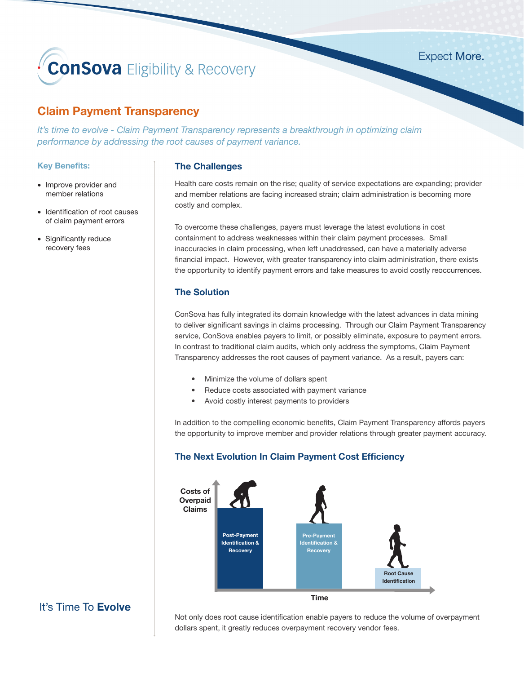# **ConSova** Eligibility & Recovery

# **Claim Payment Transparency**

*It's time to evolve - Claim Payment Transparency represents a breakthrough in optimizing claim performance by addressing the root causes of payment variance.* 

## **Key Benefits:**

- Improve provider and member relations
- Identification of root causes of claim payment errors
- Significantly reduce recovery fees

### **The Challenges**

Health care costs remain on the rise; quality of service expectations are expanding; provider and member relations are facing increased strain; claim administration is becoming more costly and complex.

**Expect More.** 

To overcome these challenges, payers must leverage the latest evolutions in cost containment to address weaknesses within their claim payment processes. Small inaccuracies in claim processing, when left unaddressed, can have a materially adverse financial impact. However, with greater transparency into claim administration, there exists the opportunity to identify payment errors and take measures to avoid costly reoccurrences.

## **The Solution**

ConSova has fully integrated its domain knowledge with the latest advances in data mining to deliver significant savings in claims processing. Through our Claim Payment Transparency service, ConSova enables payers to limit, or possibly eliminate, exposure to payment errors. In contrast to traditional claim audits, which only address the symptoms, Claim Payment Transparency addresses the root causes of payment variance. As a result, payers can:

- Minimize the volume of dollars spent
- Reduce costs associated with payment variance
- Avoid costly interest payments to providers

In addition to the compelling economic benefits, Claim Payment Transparency affords payers the opportunity to improve member and provider relations through greater payment accuracy.

## **The Next Evolution In Claim Payment Cost Efficiency**



# It's Time To **Evolve**

Not only does root cause identification enable payers to reduce the volume of overpayment dollars spent, it greatly reduces overpayment recovery vendor fees.